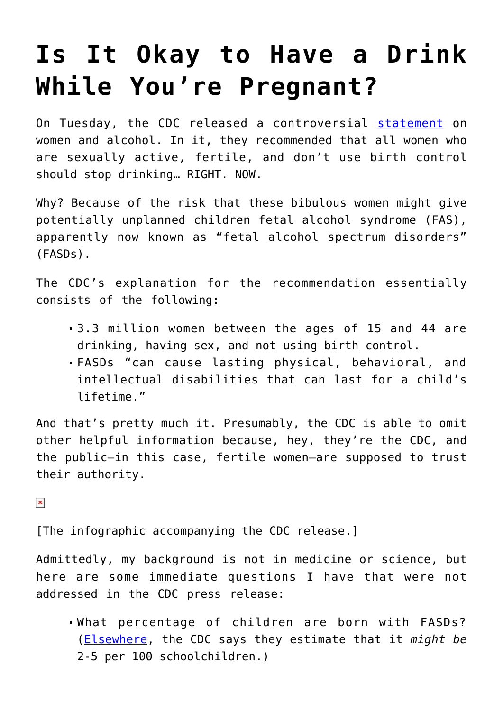## **[Is It Okay to Have a Drink](https://intellectualtakeout.org/2016/02/is-it-okay-to-have-a-drink-while-youre-pregnant/) [While You're Pregnant?](https://intellectualtakeout.org/2016/02/is-it-okay-to-have-a-drink-while-youre-pregnant/)**

On Tuesday, the CDC released a controversial [statement](http://www.cdc.gov/media/releases/2016/p0202-alcohol-exposed-pregnancy.html) on women and alcohol. In it, they recommended that all women who are sexually active, fertile, and don't use birth control should stop drinking… RIGHT. NOW.

Why? Because of the risk that these bibulous women might give potentially unplanned children fetal alcohol syndrome (FAS), apparently now known as "fetal alcohol spectrum disorders" (FASDs).

The CDC's explanation for the recommendation essentially consists of the following:

- 3.3 million women between the ages of 15 and 44 are drinking, having sex, and not using birth control.
- FASDs "can cause lasting physical, behavioral, and intellectual disabilities that can last for a child's lifetime."

And that's pretty much it. Presumably, the CDC is able to omit other helpful information because, hey, they're the CDC, and the public—in this case, fertile women—are supposed to trust their authority.

 $\pmb{\times}$ 

[The infographic accompanying the CDC release.]

Admittedly, my background is not in medicine or science, but here are some immediate questions I have that were not addressed in the CDC press release:

What percentage of children are born with FASDs? ([Elsewhere](http://www.cdc.gov/ncbddd/fasd/data.html), the CDC says they estimate that it *might be* 2-5 per 100 schoolchildren.)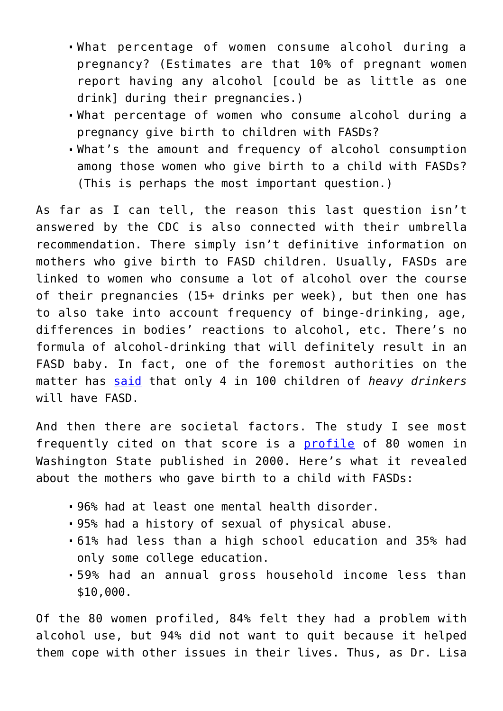- What percentage of women consume alcohol during a pregnancy? (Estimates are that 10% of pregnant women report having any alcohol [could be as little as one drink] during their pregnancies.)
- What percentage of women who consume alcohol during a pregnancy give birth to children with FASDs?
- What's the amount and frequency of alcohol consumption among those women who give birth to a child with FASDs? (This is perhaps the most important question.)

As far as I can tell, the reason this last question isn't answered by the CDC is also connected with their umbrella recommendation. There simply isn't definitive information on mothers who give birth to FASD children. Usually, FASDs are linked to women who consume a lot of alcohol over the course of their pregnancies (15+ drinks per week), but then one has to also take into account frequency of binge-drinking, age, differences in bodies' reactions to alcohol, etc. There's no formula of alcohol-drinking that will definitely result in an FASD baby. In fact, one of the foremost authorities on the matter has [said](http://alcoholnews.org/Fetal%20Alcohol%20Syndrome.html) that only 4 in 100 children of *heavy drinkers* will have FASD.

And then there are societal factors. The study I see most frequently cited on that score is a [profile](http://fasdcenter.samhsa.gov/documents/WYNK_Numbers.pdf) of 80 women in Washington State published in 2000. Here's what it revealed about the mothers who gave birth to a child with FASDs:

- 96% had at least one mental health disorder.
- 95% had a history of sexual of physical abuse.
- 61% had less than a high school education and 35% had only some college education.
- 59% had an annual gross household income less than \$10,000.

Of the 80 women profiled, 84% felt they had a problem with alcohol use, but 94% did not want to quit because it helped them cope with other issues in their lives. Thus, as Dr. Lisa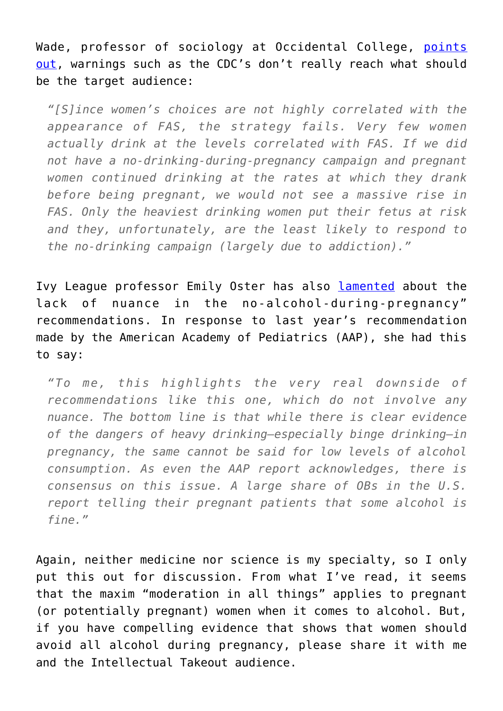Wade, professor of sociology at Occidental College, [points](https://thesocietypages.org/socimages/2015/09/18/fetal-alcohol-syndrome-and-the-social-control-of-mothers/) [out](https://thesocietypages.org/socimages/2015/09/18/fetal-alcohol-syndrome-and-the-social-control-of-mothers/), warnings such as the CDC's don't really reach what should be the target audience:

*"[S]ince women's choices are not highly correlated with the appearance of FAS, the strategy fails. Very few women actually drink at the levels correlated with FAS. If we did not have a no-drinking-during-pregnancy campaign and pregnant women continued drinking at the rates at which they drank before being pregnant, we would not see a massive rise in FAS. Only the heaviest drinking women put their fetus at risk and they, unfortunately, are the least likely to respond to the no-drinking campaign (largely due to addiction)."*

Ivy League professor Emily Oster has also [lamented](http://time.com/4081343/no-alcohol-during-pregnancy/) about the lack of nuance in the no-alcohol-during-pregnancy" recommendations. In response to last year's recommendation made by the American Academy of Pediatrics (AAP), she had this to say:

*"To me, this highlights the very real downside of recommendations like this one, which do not involve any nuance. The bottom line is that while there is clear evidence of the dangers of heavy drinking—especially binge drinking—in pregnancy, the same cannot be said for low levels of alcohol consumption. As even the AAP report acknowledges, there is consensus on this issue. A large share of OBs in the U.S. report telling their pregnant patients that some alcohol is fine."*

Again, neither medicine nor science is my specialty, so I only put this out for discussion. From what I've read, it seems that the maxim "moderation in all things" applies to pregnant (or potentially pregnant) women when it comes to alcohol. But, if you have compelling evidence that shows that women should avoid all alcohol during pregnancy, please share it with me and the Intellectual Takeout audience.